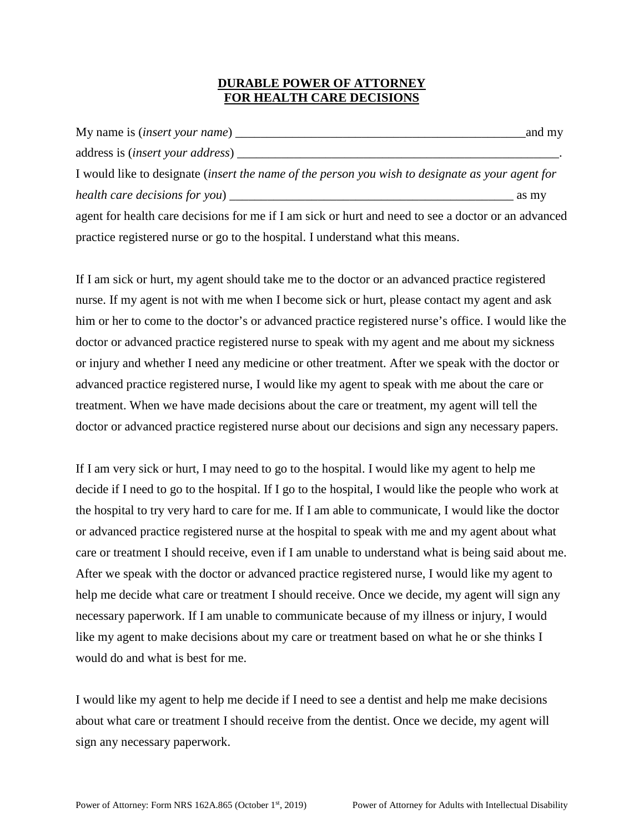### **DURABLE POWER OF ATTORNEY FOR HEALTH CARE DECISIONS**

| My name is <i>(insert your name)</i>                                                                | and my |
|-----------------------------------------------------------------------------------------------------|--------|
|                                                                                                     |        |
| I would like to designate (insert the name of the person you wish to designate as your agent for    |        |
| health care decisions for you)                                                                      | as my  |
| agent for health care decisions for me if I am sick or hurt and need to see a doctor or an advanced |        |
| practice registered nurse or go to the hospital. I understand what this means.                      |        |

If I am sick or hurt, my agent should take me to the doctor or an advanced practice registered nurse. If my agent is not with me when I become sick or hurt, please contact my agent and ask him or her to come to the doctor's or advanced practice registered nurse's office. I would like the doctor or advanced practice registered nurse to speak with my agent and me about my sickness or injury and whether I need any medicine or other treatment. After we speak with the doctor or advanced practice registered nurse, I would like my agent to speak with me about the care or treatment. When we have made decisions about the care or treatment, my agent will tell the doctor or advanced practice registered nurse about our decisions and sign any necessary papers.

If I am very sick or hurt, I may need to go to the hospital. I would like my agent to help me decide if I need to go to the hospital. If I go to the hospital, I would like the people who work at the hospital to try very hard to care for me. If I am able to communicate, I would like the doctor or advanced practice registered nurse at the hospital to speak with me and my agent about what care or treatment I should receive, even if I am unable to understand what is being said about me. After we speak with the doctor or advanced practice registered nurse, I would like my agent to help me decide what care or treatment I should receive. Once we decide, my agent will sign any necessary paperwork. If I am unable to communicate because of my illness or injury, I would like my agent to make decisions about my care or treatment based on what he or she thinks I would do and what is best for me.

I would like my agent to help me decide if I need to see a dentist and help me make decisions about what care or treatment I should receive from the dentist. Once we decide, my agent will sign any necessary paperwork.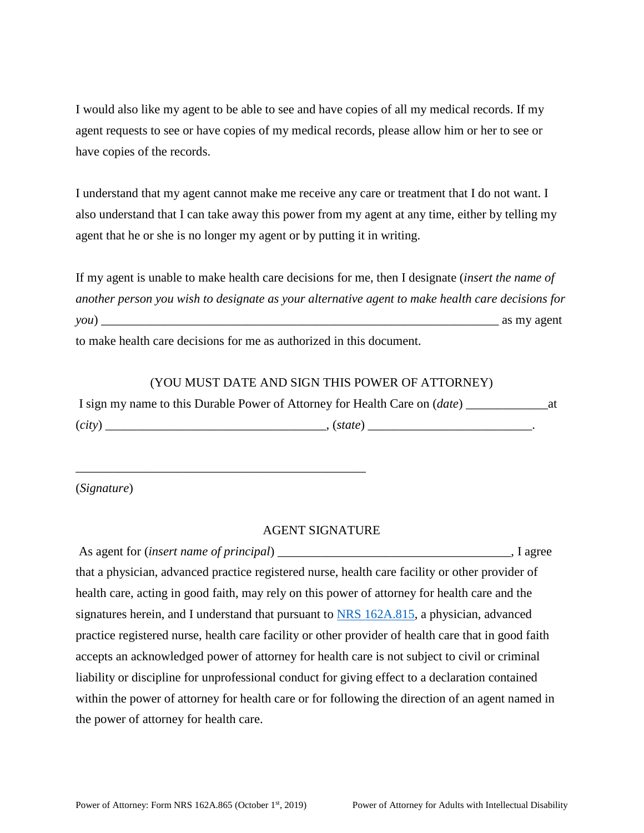I would also like my agent to be able to see and have copies of all my medical records. If my agent requests to see or have copies of my medical records, please allow him or her to see or have copies of the records.

I understand that my agent cannot make me receive any care or treatment that I do not want. I also understand that I can take away this power from my agent at any time, either by telling my agent that he or she is no longer my agent or by putting it in writing.

If my agent is unable to make health care decisions for me, then I designate (*insert the name of another person you wish to designate as your alternative agent to make health care decisions for you*) \_\_\_\_\_\_\_\_\_\_\_\_\_\_\_\_\_\_\_\_\_\_\_\_\_\_\_\_\_\_\_\_\_\_\_\_\_\_\_\_\_\_\_\_\_\_\_\_\_\_\_\_\_\_\_\_\_\_\_\_\_\_\_ as my agent to make health care decisions for me as authorized in this document.

### (YOU MUST DATE AND SIGN THIS POWER OF ATTORNEY)

|        | I sign my name to this Durable Power of Attorney for Health Care on (date) |  |
|--------|----------------------------------------------------------------------------|--|
| (city) | (state)                                                                    |  |

(*Signature*)

#### AGENT SIGNATURE

| As agent for <i>(insert name of principal)</i>                                                      | I agree |
|-----------------------------------------------------------------------------------------------------|---------|
| that a physician, advanced practice registered nurse, health care facility or other provider of     |         |
| health care, acting in good faith, may rely on this power of attorney for health care and the       |         |
| signatures herein, and I understand that pursuant to NRS 162A.815, a physician, advanced            |         |
| practice registered nurse, health care facility or other provider of health care that in good faith |         |
| accepts an acknowledged power of attorney for health care is not subject to civil or criminal       |         |
| liability or discipline for unprofessional conduct for giving effect to a declaration contained     |         |
| within the power of attorney for health care or for following the direction of an agent named in    |         |
| the power of attorney for health care.                                                              |         |

\_\_\_\_\_\_\_\_\_\_\_\_\_\_\_\_\_\_\_\_\_\_\_\_\_\_\_\_\_\_\_\_\_\_\_\_\_\_\_\_\_\_\_\_\_\_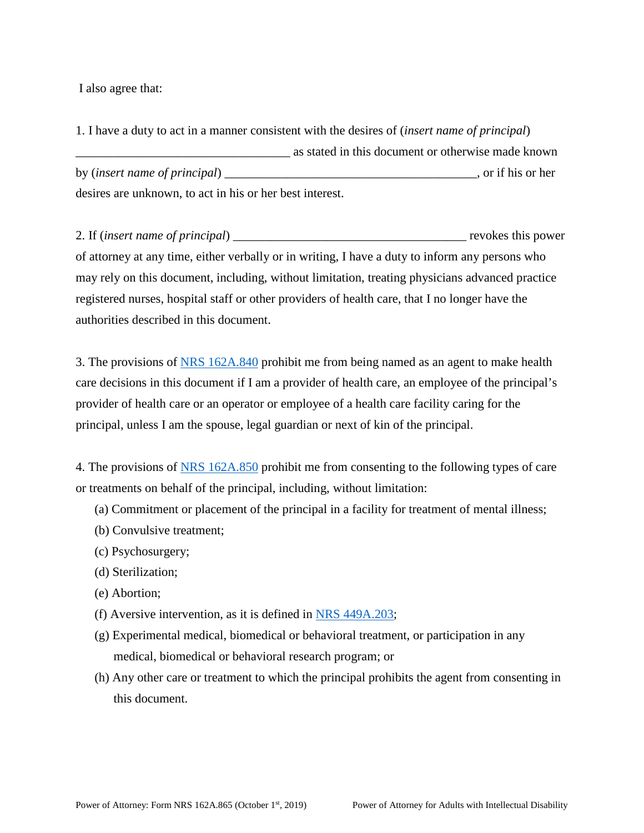I also agree that:

1. I have a duty to act in a manner consistent with the desires of (*insert name of principal*) \_\_\_\_\_\_\_\_\_\_\_\_\_\_\_\_\_\_\_\_\_\_\_\_\_\_\_\_\_\_\_\_\_\_ as stated in this document or otherwise made known by (*insert name of principal*) \_\_\_\_\_\_\_\_\_\_\_\_\_\_\_\_\_\_\_\_\_\_\_\_\_\_\_\_\_\_\_\_\_\_\_\_\_\_\_\_, or if his or her desires are unknown, to act in his or her best interest.

2. If (*insert name of principal*) \_\_\_\_\_\_\_\_\_\_\_\_\_\_\_\_\_\_\_\_\_\_\_\_\_\_\_\_\_\_\_\_\_\_\_\_\_ revokes this power of attorney at any time, either verbally or in writing, I have a duty to inform any persons who may rely on this document, including, without limitation, treating physicians advanced practice registered nurses, hospital staff or other providers of health care, that I no longer have the authorities described in this document.

3. The provisions of [NRS 162A.840](http://www.westlaw.com/Link/Document/FullText?findType=L&pubNum=1000363&cite=NVST162A.840&originatingDoc=NE8F41CC1C93611E9B603A14D40335536&refType=LQ&originationContext=document&vr=3.0&rs=cblt1.0&transitionType=DocumentItem&contextData=(sc.RelatedInfo)) prohibit me from being named as an agent to make health care decisions in this document if I am a provider of health care, an employee of the principal's provider of health care or an operator or employee of a health care facility caring for the principal, unless I am the spouse, legal guardian or next of kin of the principal.

4. The provisions of [NRS 162A.850](http://www.westlaw.com/Link/Document/FullText?findType=L&pubNum=1000363&cite=NVST162A.850&originatingDoc=NE8F41CC1C93611E9B603A14D40335536&refType=LQ&originationContext=document&vr=3.0&rs=cblt1.0&transitionType=DocumentItem&contextData=(sc.RelatedInfo)) prohibit me from consenting to the following types of care or treatments on behalf of the principal, including, without limitation:

- (a) Commitment or placement of the principal in a facility for treatment of mental illness;
- (b) Convulsive treatment;
- (c) Psychosurgery;
- (d) Sterilization;
- (e) Abortion;
- (f) Aversive intervention, as it is defined in [NRS 449A.203;](http://www.westlaw.com/Link/Document/FullText?findType=L&pubNum=1000363&cite=NVST449A.203&originatingDoc=NE8F41CC1C93611E9B603A14D40335536&refType=LQ&originationContext=document&vr=3.0&rs=cblt1.0&transitionType=DocumentItem&contextData=(sc.RelatedInfo))
- (g) Experimental medical, biomedical or behavioral treatment, or participation in any medical, biomedical or behavioral research program; or
- (h) Any other care or treatment to which the principal prohibits the agent from consenting in this document.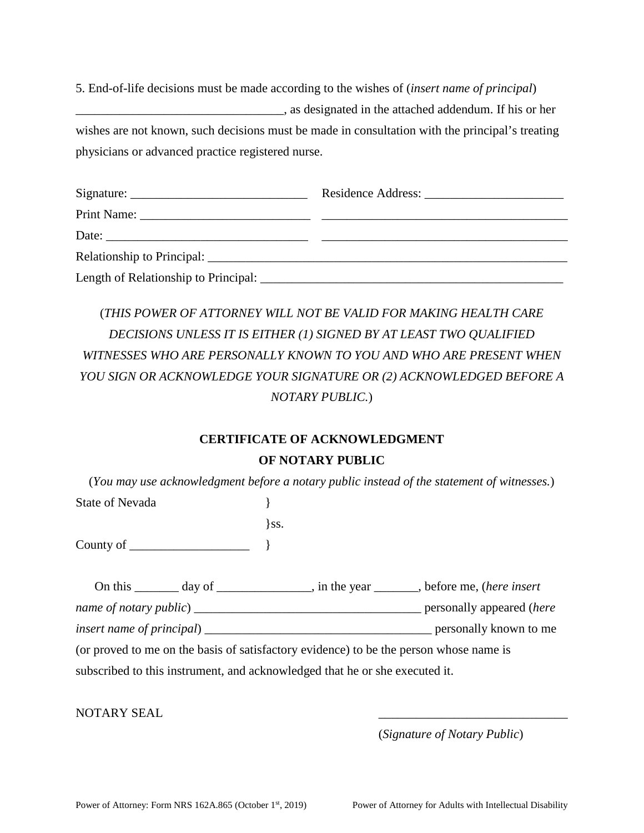5. End-of-life decisions must be made according to the wishes of (*insert name of principal*) \_\_\_\_\_\_\_\_\_\_\_\_\_\_\_\_\_\_\_\_\_\_\_\_\_\_\_\_\_\_\_\_\_, as designated in the attached addendum. If his or her wishes are not known, such decisions must be made in consultation with the principal's treating physicians or advanced practice registered nurse.

| Relationship to Principal: |  |
|----------------------------|--|
|                            |  |

# (*THIS POWER OF ATTORNEY WILL NOT BE VALID FOR MAKING HEALTH CARE DECISIONS UNLESS IT IS EITHER (1) SIGNED BY AT LEAST TWO QUALIFIED WITNESSES WHO ARE PERSONALLY KNOWN TO YOU AND WHO ARE PRESENT WHEN YOU SIGN OR ACKNOWLEDGE YOUR SIGNATURE OR (2) ACKNOWLEDGED BEFORE A NOTARY PUBLIC.*)

## **CERTIFICATE OF ACKNOWLEDGMENT OF NOTARY PUBLIC**

(*You may use acknowledgment before a notary public instead of the statement of witnesses.*) State of Nevada  $\{$ 

County of \_\_\_\_\_\_\_\_\_\_\_\_\_\_\_\_\_\_\_ }

| On this                           | day of | , in the year                                                                           | , before me, <i>(here insert</i> ) |
|-----------------------------------|--------|-----------------------------------------------------------------------------------------|------------------------------------|
| name of notary public)            |        |                                                                                         | personally appeared ( <i>here</i>  |
| <i>insert name of principal</i> ) |        |                                                                                         | personally known to me             |
|                                   |        | (an musical to me an the heals of sotisfectors suidance) to he the newcon whose news is |                                    |

(or proved to me on the basis of satisfactory evidence) to be the person whose name is subscribed to this instrument, and acknowledged that he or she executed it.

 $\}$ ss.

NOTARY SEAL

(*Signature of Notary Public*)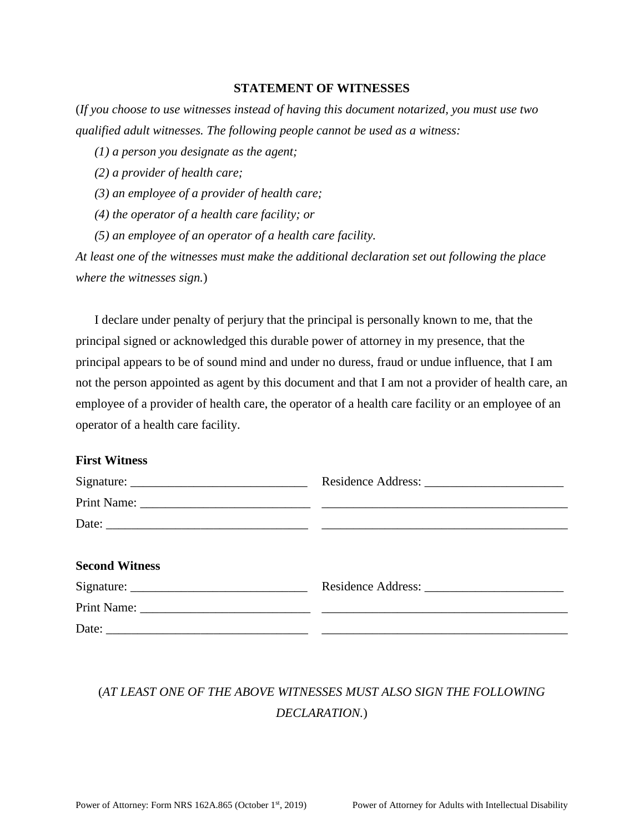#### **STATEMENT OF WITNESSES**

(*If you choose to use witnesses instead of having this document notarized, you must use two qualified adult witnesses. The following people cannot be used as a witness:* 

*(1) a person you designate as the agent;* 

*(2) a provider of health care;* 

*(3) an employee of a provider of health care;* 

*(4) the operator of a health care facility; or* 

*(5) an employee of an operator of a health care facility.* 

*At least one of the witnesses must make the additional declaration set out following the place where the witnesses sign.*)

I declare under penalty of perjury that the principal is personally known to me, that the principal signed or acknowledged this durable power of attorney in my presence, that the principal appears to be of sound mind and under no duress, fraud or undue influence, that I am not the person appointed as agent by this document and that I am not a provider of health care, an employee of a provider of health care, the operator of a health care facility or an employee of an operator of a health care facility.

## **First Witness**

| <b>Second Witness</b> |  |
|-----------------------|--|
|                       |  |
|                       |  |
|                       |  |

# (*AT LEAST ONE OF THE ABOVE WITNESSES MUST ALSO SIGN THE FOLLOWING DECLARATION.*)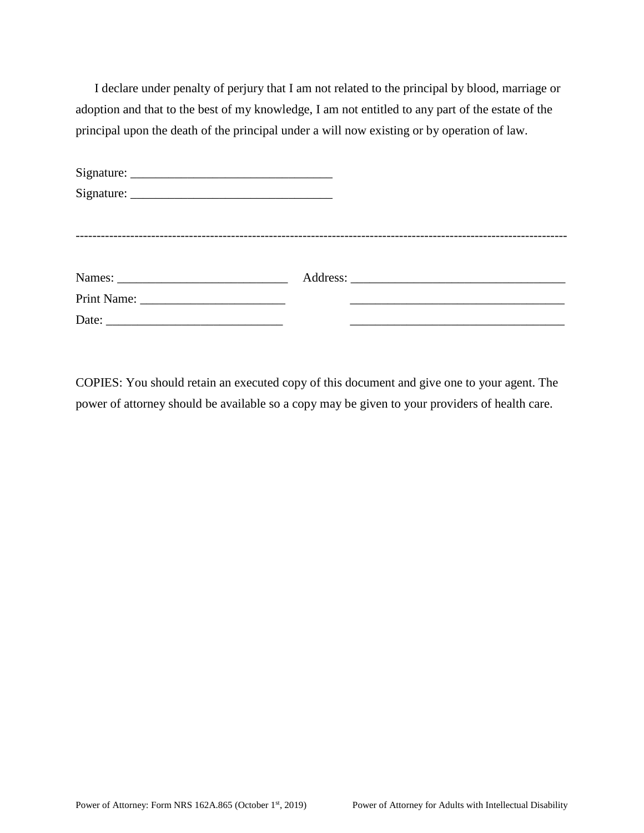I declare under penalty of perjury that I am not related to the principal by blood, marriage or adoption and that to the best of my knowledge, I am not entitled to any part of the estate of the principal upon the death of the principal under a will now existing or by operation of law.

| Signature: $\frac{1}{\sqrt{1-\frac{1}{2}}}\left\{ \frac{1}{2} + \frac{1}{2} \frac{1}{2} + \frac{1}{2} \frac{1}{2} + \frac{1}{2} \frac{1}{2} + \frac{1}{2} \frac{1}{2} + \frac{1}{2} \frac{1}{2} + \frac{1}{2} \frac{1}{2} + \frac{1}{2} \frac{1}{2} + \frac{1}{2} \frac{1}{2} + \frac{1}{2} \frac{1}{2} + \frac{1}{2} \frac{1}{2} + \frac{1}{2} \frac{1}{2} + \frac{1}{2} \frac{1}{2} + \$ |  |  |
|--------------------------------------------------------------------------------------------------------------------------------------------------------------------------------------------------------------------------------------------------------------------------------------------------------------------------------------------------------------------------------------------|--|--|
|                                                                                                                                                                                                                                                                                                                                                                                            |  |  |
|                                                                                                                                                                                                                                                                                                                                                                                            |  |  |
|                                                                                                                                                                                                                                                                                                                                                                                            |  |  |
|                                                                                                                                                                                                                                                                                                                                                                                            |  |  |
|                                                                                                                                                                                                                                                                                                                                                                                            |  |  |
|                                                                                                                                                                                                                                                                                                                                                                                            |  |  |

COPIES: You should retain an executed copy of this document and give one to your agent. The power of attorney should be available so a copy may be given to your providers of health care.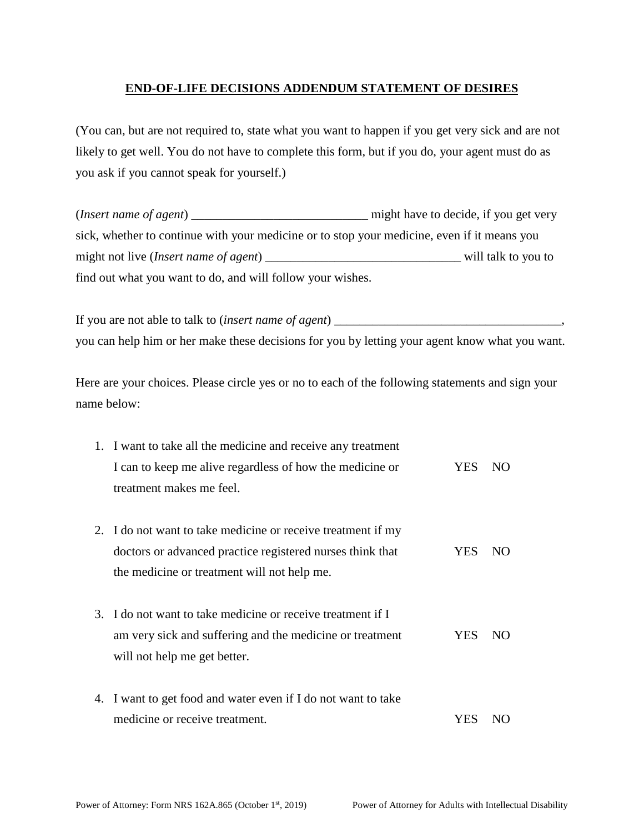## **END-OF-LIFE DECISIONS ADDENDUM STATEMENT OF DESIRES**

(You can, but are not required to, state what you want to happen if you get very sick and are not likely to get well. You do not have to complete this form, but if you do, your agent must do as you ask if you cannot speak for yourself.)

(*Insert name of agent*) \_\_\_\_\_\_\_\_\_\_\_\_\_\_\_\_\_\_\_\_\_\_\_\_\_\_\_\_ might have to decide, if you get very sick, whether to continue with your medicine or to stop your medicine, even if it means you might not live (*Insert name of agent*) \_\_\_\_\_\_\_\_\_\_\_\_\_\_\_\_\_\_\_\_\_\_\_\_\_\_\_\_\_\_\_ will talk to you to find out what you want to do, and will follow your wishes.

If you are not able to talk to (*insert name of agent*) \_\_\_\_\_\_\_\_\_\_\_\_\_\_\_\_\_\_\_\_\_\_\_\_\_\_\_\_\_\_\_\_\_\_\_\_, you can help him or her make these decisions for you by letting your agent know what you want.

Here are your choices. Please circle yes or no to each of the following statements and sign your name below:

| 1. I want to take all the medicine and receive any treatment                                                                                                             |            |     |
|--------------------------------------------------------------------------------------------------------------------------------------------------------------------------|------------|-----|
| I can to keep me alive regardless of how the medicine or                                                                                                                 | <b>YES</b> | NO. |
| treatment makes me feel.                                                                                                                                                 |            |     |
| 2. I do not want to take medicine or receive treatment if my<br>doctors or advanced practice registered nurses think that<br>the medicine or treatment will not help me. | <b>YES</b> | NO. |
| 3. I do not want to take medicine or receive treatment if I<br>am very sick and suffering and the medicine or treatment<br>will not help me get better.                  | YES        | NO. |
| 4. I want to get food and water even if I do not want to take<br>medicine or receive treatment.                                                                          | YES        |     |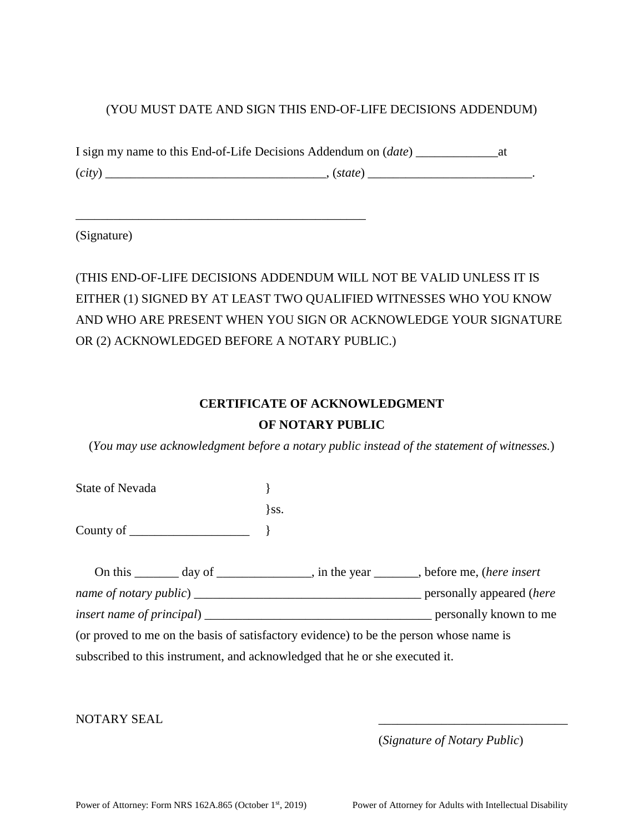## (YOU MUST DATE AND SIGN THIS END-OF-LIFE DECISIONS ADDENDUM)

| I sign my name to this End-of-Life Decisions Addendum on <i>(date)</i> |         |  |
|------------------------------------------------------------------------|---------|--|
| (city)                                                                 | (state) |  |

\_\_\_\_\_\_\_\_\_\_\_\_\_\_\_\_\_\_\_\_\_\_\_\_\_\_\_\_\_\_\_\_\_\_\_\_\_\_\_\_\_\_\_\_\_\_

(Signature)

(THIS END-OF-LIFE DECISIONS ADDENDUM WILL NOT BE VALID UNLESS IT IS EITHER (1) SIGNED BY AT LEAST TWO QUALIFIED WITNESSES WHO YOU KNOW AND WHO ARE PRESENT WHEN YOU SIGN OR ACKNOWLEDGE YOUR SIGNATURE OR (2) ACKNOWLEDGED BEFORE A NOTARY PUBLIC.)

## **CERTIFICATE OF ACKNOWLEDGMENT OF NOTARY PUBLIC**

(*You may use acknowledgment before a notary public instead of the statement of witnesses.*)

State of Nevada  $\{$  $\}$ ss. County of \_\_\_\_\_\_\_\_\_\_\_\_\_\_\_\_\_\_\_ }

| On this day of                                                              | $\Box$ , in the year $\Box$ , before me, (here insert                                  |
|-----------------------------------------------------------------------------|----------------------------------------------------------------------------------------|
|                                                                             | personally appeared ( <i>here</i>                                                      |
|                                                                             | personally known to me                                                                 |
|                                                                             | (or proved to me on the basis of satisfactory evidence) to be the person whose name is |
| subscribed to this instrument, and acknowledged that he or she executed it. |                                                                                        |

NOTARY SEAL

(*Signature of Notary Public*)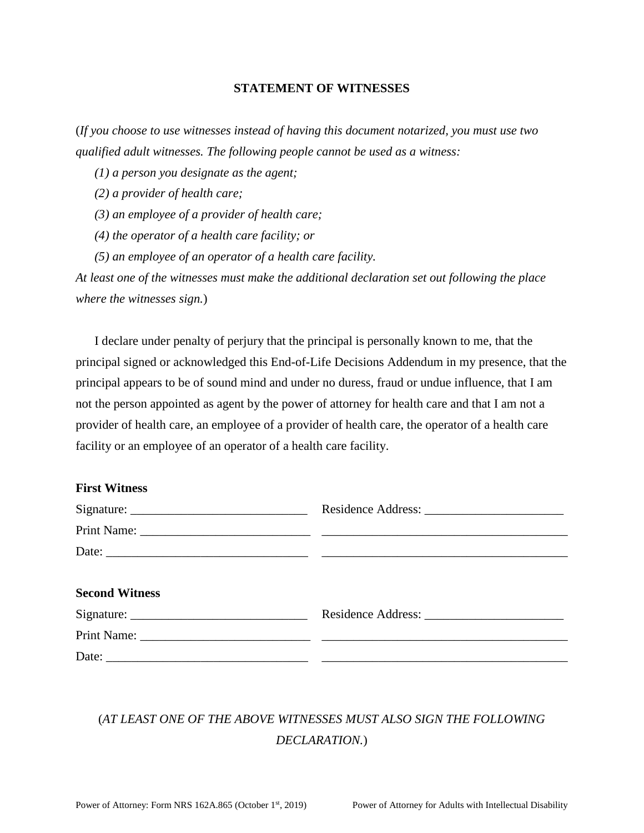#### **STATEMENT OF WITNESSES**

(*If you choose to use witnesses instead of having this document notarized, you must use two qualified adult witnesses. The following people cannot be used as a witness:* 

*(1) a person you designate as the agent;* 

*(2) a provider of health care;* 

*(3) an employee of a provider of health care;* 

*(4) the operator of a health care facility; or* 

*(5) an employee of an operator of a health care facility.* 

*At least one of the witnesses must make the additional declaration set out following the place where the witnesses sign.*)

I declare under penalty of perjury that the principal is personally known to me, that the principal signed or acknowledged this End-of-Life Decisions Addendum in my presence, that the principal appears to be of sound mind and under no duress, fraud or undue influence, that I am not the person appointed as agent by the power of attorney for health care and that I am not a provider of health care, an employee of a provider of health care, the operator of a health care facility or an employee of an operator of a health care facility.

### **First Witness**

| <b>Second Witness</b> |  |
|-----------------------|--|
|                       |  |
|                       |  |
|                       |  |

# (*AT LEAST ONE OF THE ABOVE WITNESSES MUST ALSO SIGN THE FOLLOWING DECLARATION.*)